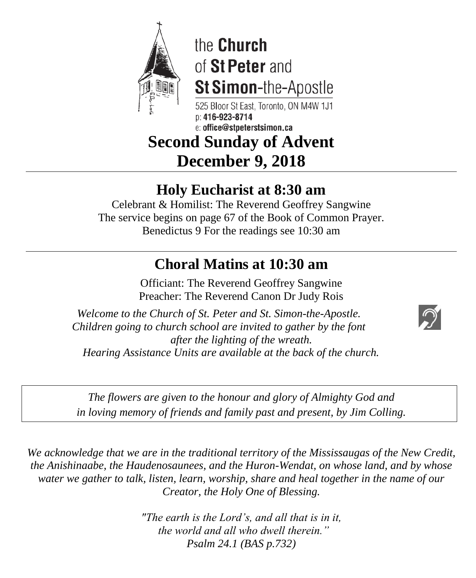

# the Church of St Peter and St Simon-the-Apostle

525 Bloor St East. Toronto. ON M4W 1J1  $n: 416 - 923 - 8714$ e: office@stpeterstsimon.ca

## **Second Sunday of Advent December 9, 2018**

## **Holy Eucharist at 8:30 am**

Celebrant & Homilist: The Reverend Geoffrey Sangwine The service begins on page 67 of the Book of Common Prayer. Benedictus 9 For the readings see 10:30 am

## **Choral Matins at 10:30 am**

Officiant: The Reverend Geoffrey Sangwine Preacher: The Reverend Canon Dr Judy Rois

*Welcome to the Church of St. Peter and St. Simon-the-Apostle. Children going to church school are invited to gather by the font after the lighting of the wreath. Hearing Assistance Units are available at the back of the church.*



*The flowers are given to the honour and glory of Almighty God and in loving memory of friends and family past and present, by Jim Colling.*

*We acknowledge that we are in the traditional territory of the Mississaugas of the New Credit, the Anishinaabe, the Haudenosaunees, and the Huron-Wendat, on whose land, and by whose water we gather to talk, listen, learn, worship, share and heal together in the name of our Creator, the Holy One of Blessing.*

> *"The earth is the Lord's, and all that is in it, the world and all who dwell therein." Psalm 24.1 (BAS p.732)*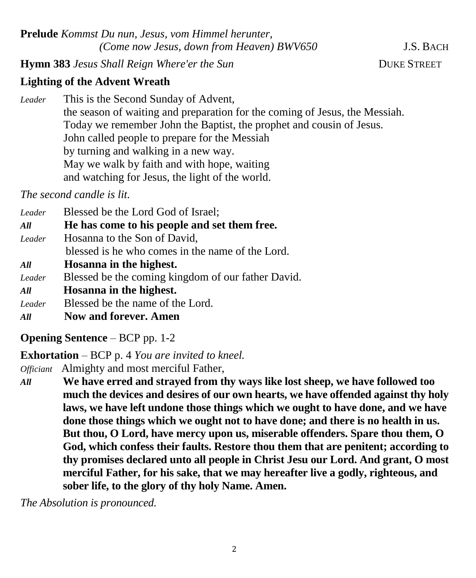**Prelude** *Kommst Du nun, Jesus, vom Himmel herunter, (Come now Jesus, down from Heaven) BWV650* J.S. BACH

**Hymn 383** *Jesus Shall Reign Where'er the Sun* **DUKE STREET** 

### **Lighting of the Advent Wreath**

*Leader* This is the Second Sunday of Advent, the season of waiting and preparation for the coming of Jesus, the Messiah. Today we remember John the Baptist, the prophet and cousin of Jesus. John called people to prepare for the Messiah by turning and walking in a new way. May we walk by faith and with hope, waiting and watching for Jesus, the light of the world.

*The second candle is lit.*

| Leader | Blessed be the Lord God of Israel;                 |
|--------|----------------------------------------------------|
| All    | He has come to his people and set them free.       |
| Leader | Hosanna to the Son of David,                       |
|        | blessed is he who comes in the name of the Lord.   |
| All    | Hosanna in the highest.                            |
| Leader | Blessed be the coming kingdom of our father David. |
| All    | Hosanna in the highest.                            |
| Leader | Blessed be the name of the Lord.                   |

*All* **Now and forever. Amen**

**Opening Sentence** – BCP pp. 1-2

**Exhortation** – BCP p. 4 *You are invited to kneel.*

*Officiant* Almighty and most merciful Father,

*All* **We have erred and strayed from thy ways like lost sheep, we have followed too much the devices and desires of our own hearts, we have offended against thy holy laws, we have left undone those things which we ought to have done, and we have done those things which we ought not to have done; and there is no health in us. But thou, O Lord, have mercy upon us, miserable offenders. Spare thou them, O God, which confess their faults. Restore thou them that are penitent; according to thy promises declared unto all people in Christ Jesu our Lord. And grant, O most merciful Father, for his sake, that we may hereafter live a godly, righteous, and sober life, to the glory of thy holy Name. Amen.**

*The Absolution is pronounced.*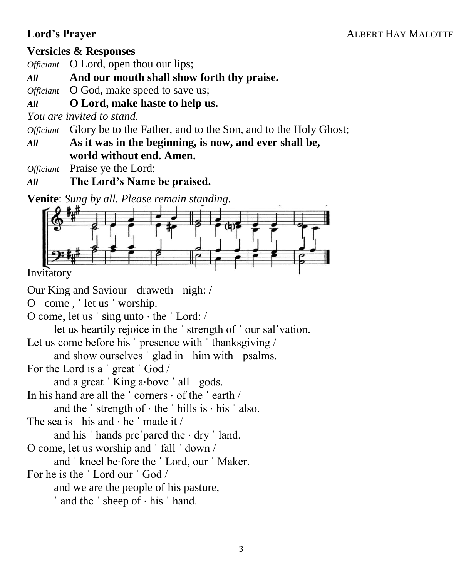#### **Lord's Prayer**ALBERT HAY MALOTTE

#### **Versicles & Responses**

*Officiant* O Lord, open thou our lips;

*All* **And our mouth shall show forth thy praise.**

*Officiant* O God, make speed to save us;

#### *All* **O Lord, make haste to help us.**

*You are invited to stand.*

*Officiant* Glory be to the Father, and to the Son, and to the Holy Ghost;

*All* **As it was in the beginning, is now, and ever shall be, world without end. Amen.**

*Officiant* Praise ye the Lord;

*All* **The Lord's Name be praised.**

**Venite**: *Sung by all. Please remain standing.*



Invitatory

Our King and Saviour ˈ draweth ˈ nigh: /

O ˈ come , ˈ let us ˈ worship.

O come, let us ˈ sing unto ⋅ the ˈ Lord: /

let us heartily rejoice in the ˈ strength of ˈ our salˈvation.

Let us come before his ' presence with ' thanksgiving /

and show ourselves ˈ glad in ˈ him with ˈ psalms.

For the Lord is a ˈ great ˈ God /

and a great 'King a⋅bove ' all ' gods.

In his hand are all the ˈ corners ⋅ of the ˈ earth /

and the ' strength of  $\cdot$  the ' hills is  $\cdot$  his ' also.

The sea is  $'$  his and  $\cdot$  he  $'$  made it /

and his  $'$  hands pre pared the  $·$  dry  $'$  land.

O come, let us worship and ˈ fall ˈ down /

and ˈ kneel be⋅fore the ˈ Lord, our ˈ Maker.

For he is the ˈ Lord our ˈ God /

and we are the people of his pasture,

ˈ and the ˈ sheep of ⋅ his ˈ hand.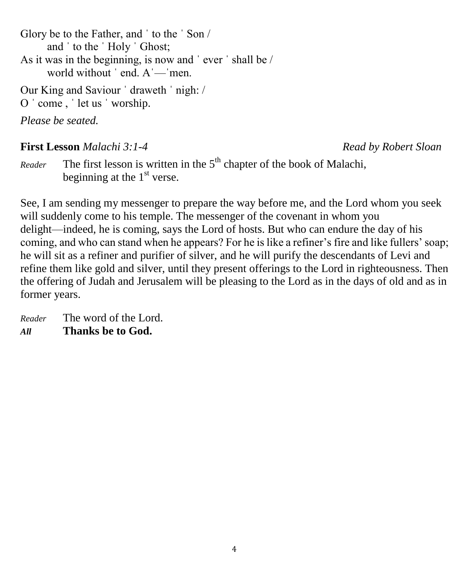Glory be to the Father, and ˈ to the ˈ Son / and ˈ to the ˈ Holy ˈ Ghost; As it was in the beginning, is now and ˈ ever ˈ shall be / world without ' end. A'—'men.

Our King and Saviour ˈ draweth ˈ nigh: / O ˈ come , ˈ let us ˈ worship.

*Please be seated.*

#### **First Lesson** *Malachi 3:1-4 Read by Robert Sloan*

*Reader* The first lesson is written in the  $5<sup>th</sup>$  chapter of the book of Malachi, beginning at the  $1<sup>st</sup>$  verse.

See, I am sending my messenger to prepare the way before me, and the Lord whom you seek will suddenly come to his temple. The messenger of the covenant in whom you delight—indeed, he is coming, says the Lord of hosts. But who can endure the day of his coming, and who can stand when he appears? For he is like a refiner's fire and like fullers' soap; he will sit as a refiner and purifier of silver, and he will purify the descendants of Levi and refine them like gold and silver, until they present offerings to the Lord in righteousness. Then the offering of Judah and Jerusalem will be pleasing to the Lord as in the days of old and as in former years.

*Reader* The word of the Lord. *All* **Thanks be to God.**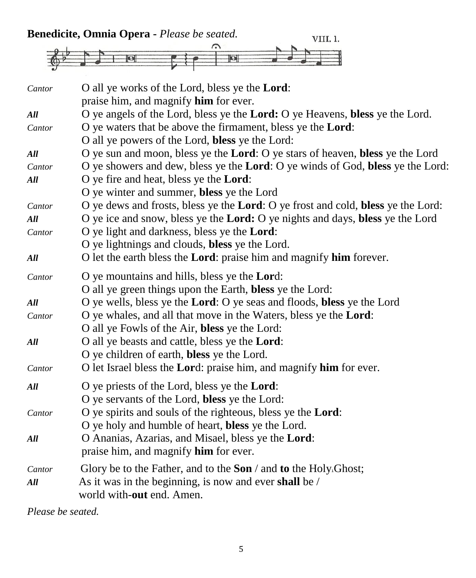| Cantor | O all ye works of the Lord, bless ye the Lord:                                                  |
|--------|-------------------------------------------------------------------------------------------------|
|        | praise him, and magnify him for ever.                                                           |
| All    | O ye angels of the Lord, bless ye the Lord: O ye Heavens, bless ye the Lord.                    |
| Cantor | O ye waters that be above the firmament, bless ye the <b>Lord</b> :                             |
|        | O all ye powers of the Lord, bless ye the Lord:                                                 |
| All    | O ye sun and moon, bless ye the Lord: O ye stars of heaven, bless ye the Lord                   |
| Cantor | O ye showers and dew, bless ye the Lord: O ye winds of God, bless ye the Lord:                  |
| All    | O ye fire and heat, bless ye the <b>Lord</b> :                                                  |
|        | O ye winter and summer, bless ye the Lord                                                       |
| Cantor | O ye dews and frosts, bless ye the <b>Lord</b> : O ye frost and cold, <b>bless</b> ye the Lord: |
| All    | O ye ice and snow, bless ye the <b>Lord:</b> O ye nights and days, <b>bless</b> ye the Lord     |
| Cantor | O ye light and darkness, bless ye the <b>Lord</b> :                                             |
|        | O ye lightnings and clouds, bless ye the Lord.                                                  |
| All    | O let the earth bless the <b>Lord</b> : praise him and magnify <b>him</b> forever.              |
| Cantor | O ye mountains and hills, bless ye the Lord:                                                    |
|        | O all ye green things upon the Earth, bless ye the Lord:                                        |
| All    | O ye wells, bless ye the <b>Lord</b> : O ye seas and floods, <b>bless</b> ye the Lord           |
| Cantor | O ye whales, and all that move in the Waters, bless ye the <b>Lord</b> :                        |
|        | O all ye Fowls of the Air, bless ye the Lord:                                                   |
| All    | O all ye beasts and cattle, bless ye the Lord:                                                  |
|        | O ye children of earth, bless ye the Lord.                                                      |
| Cantor | O let Israel bless the Lord: praise him, and magnify him for ever.                              |
| All    | O ye priests of the Lord, bless ye the Lord:                                                    |
|        | O ye servants of the Lord, bless ye the Lord:                                                   |
| Cantor | O ye spirits and souls of the righteous, bless ye the <b>Lord</b> :                             |
|        | O ye holy and humble of heart, bless ye the Lord.                                               |
| All    | O Ananias, Azarias, and Misael, bless ye the Lord:                                              |
|        | praise him, and magnify <b>him</b> for ever.                                                    |
| Cantor | Glory be to the Father, and to the Son $\ell$ and to the Holy. Ghost;                           |
| All    | As it was in the beginning, is now and ever shall be /                                          |
|        | world with-out end. Amen.                                                                       |

*Please be seated.*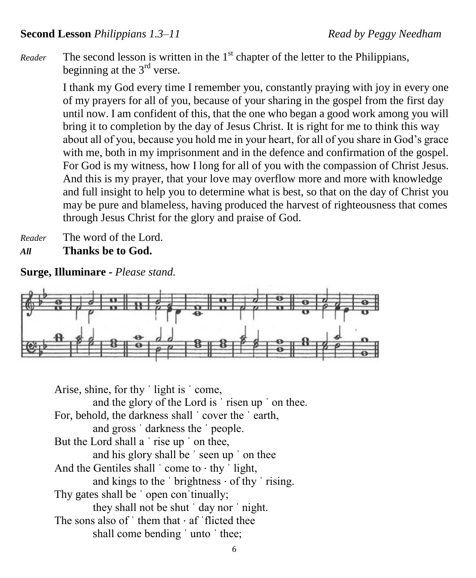Reader The second lesson is written in the 1<sup>st</sup> chapter of the letter to the Philippians, beginning at the  $3<sup>rd</sup>$  verse.

> I thank my God every time I remember you, constantly praying with joy in every one of my prayers for all of you, because of your sharing in the gospel from the first day until now. I am confident of this, that the one who began a good work among you will bring it to completion by the day of Jesus Christ. It is right for me to think this way about all of you, because you hold me in your heart, for all of you share in God's grace with me, both in my imprisonment and in the defence and confirmation of the gospel. For God is my witness, how I long for all of you with the compassion of Christ Jesus. And this is my prayer, that your love may overflow more and more with knowledge and full insight to help you to determine what is best, so that on the day of Christ you may be pure and blameless, having produced the harvest of righteousness that comes through Jesus Christ for the glory and praise of God.

*Reader* The word of the Lord. *All* **Thanks be to God.**

**Surge, Illuminare -** *Please stand.*



Arise, shine, for thy ˈ light is ˈ come, and the glory of the Lord is ˈ risen up ˈ on thee. For, behold, the darkness shall 'cover the 'earth, and gross ˈ darkness the ˈ people. But the Lord shall a 'rise up ' on thee, and his glory shall be ˈ seen up ˈ on thee And the Gentiles shall  $\cdot$  come to  $\cdot$  thy  $\cdot$  light, and kings to the  $\cdot$  brightness  $\cdot$  of thy  $\cdot$  rising. Thy gates shall be ' open con 'tinually; they shall not be shut ˈ day nor ˈ night. The sons also of  $\dot{\ }$  them that  $\cdot$  af  $\dot{\ }$  flicted thee shall come bending ' unto ' thee;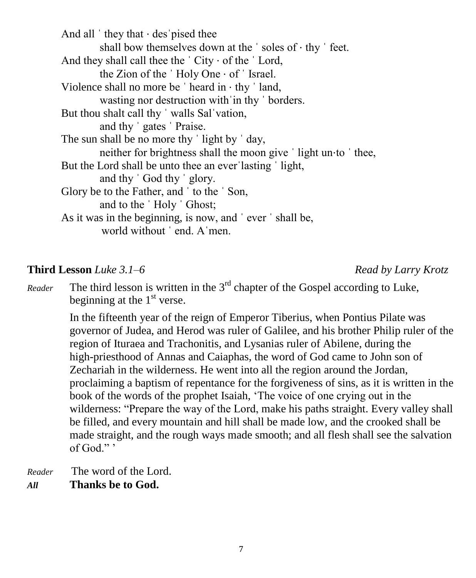And all  $'$  they that  $\cdot$  des pised thee shall bow themselves down at the 'soles of  $\cdot$  thy ' feet. And they shall call thee the  $\dot{\ }$  City  $\cdot$  of the  $\dot{\ }$  Lord, the Zion of the ˈ Holy One ⋅ of ˈ Israel. Violence shall no more be  $\dot{\ }$  heard in  $\cdot$  thy  $\dot{\ }$  land, wasting nor destruction with in thy ' borders. But thou shalt call thy 'walls Sal'vation, and thy ˈ gates ˈ Praise. The sun shall be no more thy 'light by 'day, neither for brightness shall the moon give 'light un⋅to 'thee, But the Lord shall be unto thee an ever lasting 'light, and thy ˈ God thy ˈ glory. Glory be to the Father, and ˈ to the ˈ Son, and to the ˈ Holy ˈ Ghost; As it was in the beginning, is now, and ˈ ever ˈ shall be, world without ˈ end. Aˈmen.

#### **Third Lesson** *Luke 3.1–6 Read by Larry Krotz*

*Reader* The third lesson is written in the  $3<sup>rd</sup>$  chapter of the Gospel according to Luke, beginning at the  $1<sup>st</sup>$  verse.

> In the fifteenth year of the reign of Emperor Tiberius, when Pontius Pilate was governor of Judea, and Herod was ruler of Galilee, and his brother Philip ruler of the region of Ituraea and Trachonitis, and Lysanias ruler of Abilene, during the high-priesthood of Annas and Caiaphas, the word of God came to John son of Zechariah in the wilderness. He went into all the region around the Jordan, proclaiming a baptism of repentance for the forgiveness of sins, as it is written in the book of the words of the prophet Isaiah, 'The voice of one crying out in the wilderness: "Prepare the way of the Lord, make his paths straight. Every valley shall be filled, and every mountain and hill shall be made low, and the crooked shall be made straight, and the rough ways made smooth; and all flesh shall see the salvation of God." '

*Reader* The word of the Lord. *All* **Thanks be to God.**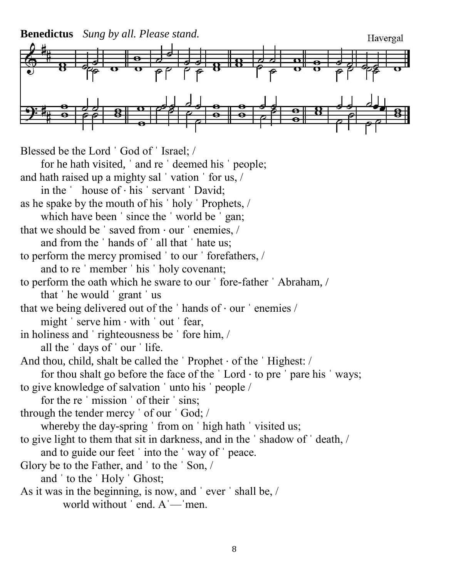**Benedictus** *Sung by all. Please stand.* Havergal Blessed be the Lord ˈ God of ˈ Israel; / for he hath visited, ˈ and re ˈ deemed his ˈ people; and hath raised up a mighty sal 'vation ' for us, / in the ˈ house of ⋅ his ˈ servant ˈ David; as he spake by the mouth of his ˈ holy ˈ Prophets, / which have been 'since the 'world be 'gan; that we should be  $\prime$  saved from  $\cdot$  our  $\prime$  enemies,  $\prime$ and from the ˈ hands of ˈ all that ˈ hate us; to perform the mercy promised ˈ to our ˈ forefathers, / and to re ˈ member ˈ his ˈ holy covenant; to perform the oath which he sware to our ˈ fore-father ˈ Abraham, / that ˈ he would ˈ grant ˈ us that we being delivered out of the ˈ hands of ⋅ our ˈ enemies / might ' serve him · with ' out ' fear, in holiness and ˈ righteousness be ˈ fore him, / all the ˈ days of ˈ our ˈ life. And thou, child, shalt be called the ˈ Prophet ⋅ of the ˈ Highest: / for thou shalt go before the face of the  $\vert$  Lord  $\cdot$  to pre  $\vert$  pare his  $\vert$  ways; to give knowledge of salvation ˈ unto his ˈ people / for the re ˈ mission ˈ of their ˈ sins; through the tender mercy ˈ of our ˈ God; / whereby the day-spring ' from on ' high hath ' visited us; to give light to them that sit in darkness, and in the ˈ shadow of ˈ death, / and to guide our feet ˈ into the ˈ way of ˈ peace. Glory be to the Father, and ˈ to the ˈ Son, / and ˈ to the ˈ Holy ˈ Ghost; As it was in the beginning, is now, and ˈ ever ˈ shall be, / world without ' end. A '— men.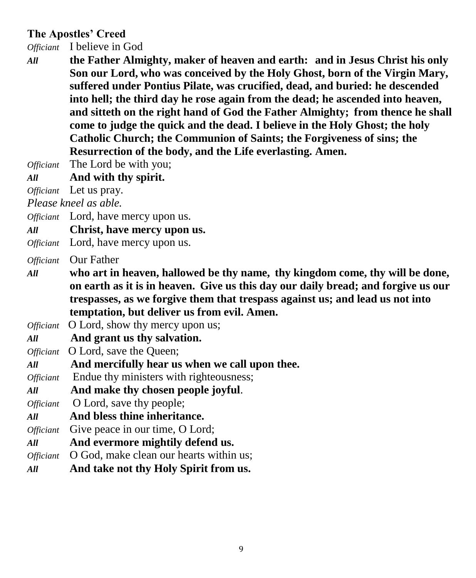#### **The Apostles' Creed**

*Officiant* I believe in God

*All* **the Father Almighty, maker of heaven and earth: and in Jesus Christ his only Son our Lord, who was conceived by the Holy Ghost, born of the Virgin Mary, suffered under Pontius Pilate, was crucified, dead, and buried: he descended into hell; the third day he rose again from the dead; he ascended into heaven, and sitteth on the right hand of God the Father Almighty; from thence he shall come to judge the quick and the dead. I believe in the Holy Ghost; the holy Catholic Church; the Communion of Saints; the Forgiveness of sins; the Resurrection of the body, and the Life everlasting. Amen.**

*Officiant* The Lord be with you;

*All* **And with thy spirit.**

*Officiant* Let us pray.

*Please kneel as able.*

*Officiant* Lord, have mercy upon us.

- *All* **Christ, have mercy upon us.**
- *Officiant* Lord, have mercy upon us.

*Officiant* Our Father

- *All* **who art in heaven, hallowed be thy name, thy kingdom come, thy will be done, on earth as it is in heaven. Give us this day our daily bread; and forgive us our trespasses, as we forgive them that trespass against us; and lead us not into temptation, but deliver us from evil. Amen.**
- *Officiant* O Lord, show thy mercy upon us;
- *All* **And grant us thy salvation.**
- *Officiant* O Lord, save the Queen;
- *All* **And mercifully hear us when we call upon thee.**
- *Officiant* Endue thy ministers with righteousness;
- *All* **And make thy chosen people joyful**.
- *Officiant* **O** Lord, save thy people;
- *All* **And bless thine inheritance.**
- *Officiant* Give peace in our time, O Lord;
- *All* **And evermore mightily defend us.**
- *Officiant* O God, make clean our hearts within us;
- *All* **And take not thy Holy Spirit from us.**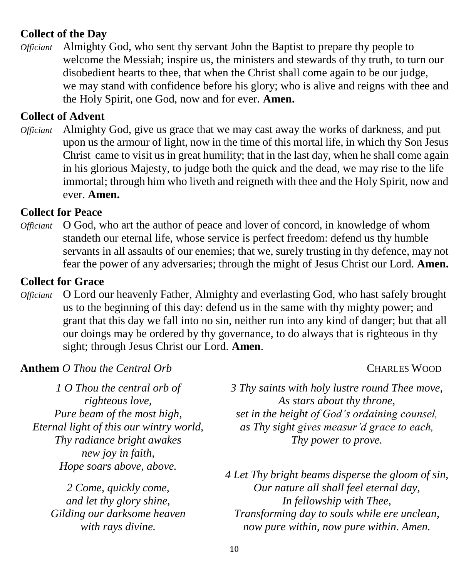#### **Collect of the Day**

*Officiant* Almighty God, who sent thy servant John the Baptist to prepare thy people to welcome the Messiah; inspire us, the ministers and stewards of thy truth, to turn our disobedient hearts to thee, that when the Christ shall come again to be our judge, we may stand with confidence before his glory; who is alive and reigns with thee and the Holy Spirit, one God, now and for ever. **Amen.**

#### **Collect of Advent**

*Officiant* Almighty God, give us grace that we may cast away the works of darkness, and put upon us the armour of light, now in the time of this mortal life, in which thy Son Jesus Christ came to visit us in great humility; that in the last day, when he shall come again in his glorious Majesty, to judge both the quick and the dead, we may rise to the life immortal; through him who liveth and reigneth with thee and the Holy Spirit, now and ever. **Amen.**

#### **Collect for Peace**

*Officiant* O God, who art the author of peace and lover of concord, in knowledge of whom standeth our eternal life, whose service is perfect freedom: defend us thy humble servants in all assaults of our enemies; that we, surely trusting in thy defence, may not fear the power of any adversaries; through the might of Jesus Christ our Lord. **Amen.**

#### **Collect for Grace**

*Officiant* O Lord our heavenly Father, Almighty and everlasting God, who hast safely brought us to the beginning of this day: defend us in the same with thy mighty power; and grant that this day we fall into no sin, neither run into any kind of danger; but that all our doings may be ordered by thy governance, to do always that is righteous in thy sight; through Jesus Christ our Lord. **Amen**.

#### **Anthem** *O* Thou the Central Orb **CHARLES WOOD**

*1 O Thou the central orb of righteous love, Pure beam of the most high, Eternal light of this our wintry world, Thy radiance bright awakes new joy in faith, Hope soars above, above.*

> *2 Come, quickly come, and let thy glory shine, Gilding our darksome heaven with rays divine.*

*3 Thy saints with holy lustre round Thee move, As stars about thy throne, set in the height of God's ordaining counsel, as Thy sight gives measur'd grace to each, Thy power to prove.*

*4 Let Thy bright beams disperse the gloom of sin, Our nature all shall feel eternal day, In fellowship with Thee, Transforming day to souls while ere unclean, now pure within, now pure within. Amen.*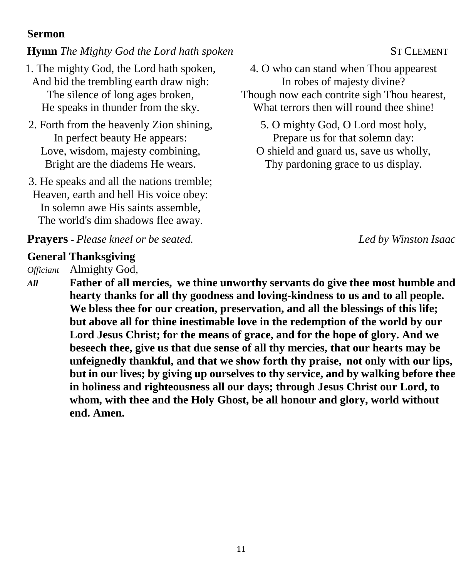#### **Sermon**

### **Hymn** *The Mighty God the Lord hath spoken* **ST CLEMENT**

- 1. The mighty God, the Lord hath spoken, And bid the trembling earth draw nigh: The silence of long ages broken, He speaks in thunder from the sky.
- 2. Forth from the heavenly Zion shining, In perfect beauty He appears: Love, wisdom, majesty combining, Bright are the diadems He wears.
- 3. He speaks and all the nations tremble; Heaven, earth and hell His voice obey: In solemn awe His saints assemble, The world's dim shadows flee away.

4. O who can stand when Thou appearest In robes of majesty divine? Though now each contrite sigh Thou hearest, What terrors then will round thee shine!

5. O mighty God, O Lord most holy, Prepare us for that solemn day:

O shield and guard us, save us wholly, Thy pardoning grace to us display.

**Prayers -** *Please kneel or be seated.**Led by Winston Isaac*

### **General Thanksgiving**

*Officiant* Almighty God,

*All* **Father of all mercies, we thine unworthy servants do give thee most humble and hearty thanks for all thy goodness and loving-kindness to us and to all people. We bless thee for our creation, preservation, and all the blessings of this life; but above all for thine inestimable love in the redemption of the world by our Lord Jesus Christ; for the means of grace, and for the hope of glory. And we beseech thee, give us that due sense of all thy mercies, that our hearts may be unfeignedly thankful, and that we show forth thy praise, not only with our lips, but in our lives; by giving up ourselves to thy service, and by walking before thee in holiness and righteousness all our days; through Jesus Christ our Lord, to whom, with thee and the Holy Ghost, be all honour and glory, world without end. Amen.**